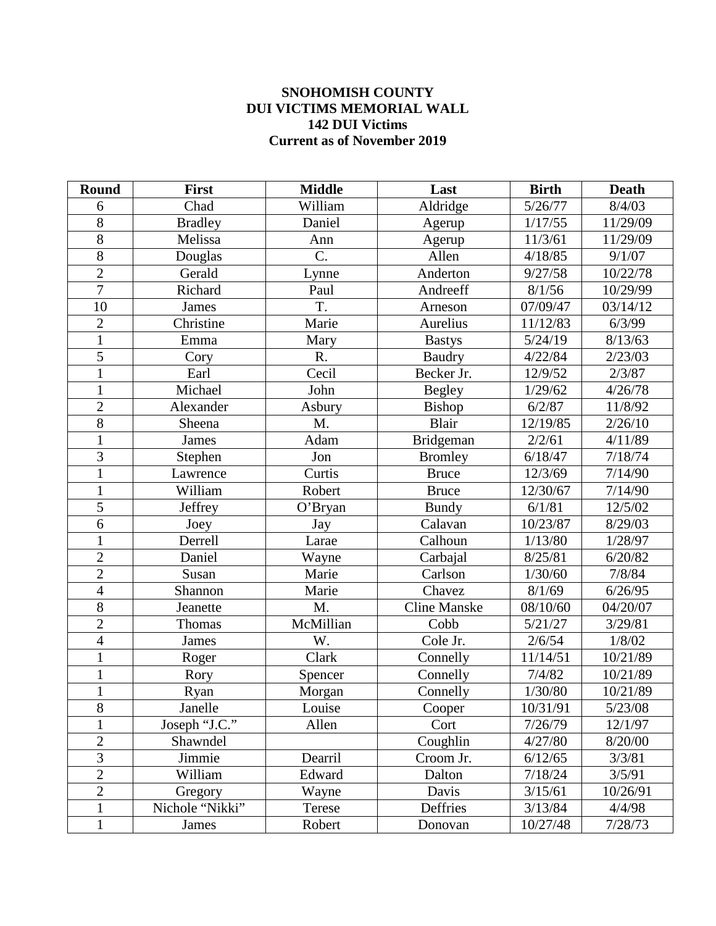## **SNOHOMISH COUNTY DUI VICTIMS MEMORIAL WALL DUI Victims Current as of November 2019**

| <b>Round</b>   | <b>First</b>    | <b>Middle</b> | Last                | <b>Birth</b>           | <b>Death</b> |
|----------------|-----------------|---------------|---------------------|------------------------|--------------|
| 6              | Chad            | William       | Aldridge            | 5/26/77                | 8/4/03       |
| 8              | <b>Bradley</b>  | Daniel        | Agerup              | 1/17/55                | 11/29/09     |
| $\overline{8}$ | Melissa         | Ann           | Agerup              | 11/3/61                | 11/29/09     |
| 8              | Douglas         | C.            | Allen               | 4/18/85                | 9/1/07       |
| $\overline{2}$ | Gerald          | Lynne         | Anderton            | 9/27/58                | 10/22/78     |
| $\overline{7}$ | Richard         | Paul          | Andreeff            | 8/1/56                 | 10/29/99     |
| 10             | <b>James</b>    | T.            | Arneson             | 07/09/47               | 03/14/12     |
| $\overline{2}$ | Christine       | Marie         | Aurelius            | 11/12/83               | 6/3/99       |
| $\mathbf{1}$   | Emma            | Mary          | <b>Bastys</b>       | 5/24/19                | 8/13/63      |
| $\overline{5}$ | Cory            | R.            | <b>Baudry</b>       | 4/22/84                | 2/23/03      |
| $\mathbf{1}$   | Earl            | Cecil         | Becker Jr.          | 12/9/52                | 2/3/87       |
| $\mathbf{1}$   | Michael         | John          | <b>Begley</b>       | 1/29/62                | 4/26/78      |
| $\overline{2}$ | Alexander       | Asbury        | Bishop              | 6/2/87                 | 11/8/92      |
| $\overline{8}$ | Sheena          | M.            | <b>Blair</b>        | 12/19/85               | 2/26/10      |
| $\mathbf{1}$   | James           | Adam          | Bridgeman           | 2/2/61                 | 4/11/89      |
| $\overline{3}$ | Stephen         | Jon           | <b>Bromley</b>      | 6/18/47                | 7/18/74      |
| $\mathbf{1}$   | Lawrence        | Curtis        | <b>Bruce</b>        | 12/3/69                | 7/14/90      |
| $\mathbf{1}$   | William         | Robert        | <b>Bruce</b>        | 12/30/67               | 7/14/90      |
| $\overline{5}$ | <b>Jeffrey</b>  | O'Bryan       | <b>Bundy</b>        | 6/1/81                 | 12/5/02      |
| 6              | Joey            | Jay           | Calavan             | 10/23/87               | 8/29/03      |
| $\mathbf{1}$   | Derrell         | Larae         | Calhoun             | 1/13/80                | 1/28/97      |
| $\overline{2}$ | Daniel          | Wayne         | Carbajal            | 8/25/81                | 6/20/82      |
| $\overline{2}$ | Susan           | Marie         | Carlson             | 1/30/60                | 7/8/84       |
| $\overline{4}$ | Shannon         | Marie         | Chavez              | 8/1/69                 | 6/26/95      |
| $\overline{8}$ | Jeanette        | M.            | <b>Cline Manske</b> | 08/10/60               | 04/20/07     |
| $\overline{2}$ | Thomas          | McMillian     | Cobb                | 5/21/27                | 3/29/81      |
| $\overline{4}$ | James           | W.            | Cole Jr.            | 2/6/54                 | 1/8/02       |
| $\mathbf{1}$   | Roger           | Clark         | Connelly            | $\frac{1}{11}{14}{51}$ | 10/21/89     |
| $\mathbf{1}$   | Rory            | Spencer       | Connelly            | 7/4/82                 | 10/21/89     |
| $\mathbf{1}$   | Ryan            | Morgan        | Connelly            | 1/30/80                | 10/21/89     |
| $\overline{8}$ | Janelle         | Louise        | Cooper              | 10/31/91               | 5/23/08      |
| $\mathbf{1}$   | Joseph "J.C."   | Allen         | Cort                | 7/26/79                | 12/1/97      |
| $\overline{2}$ | Shawndel        |               | Coughlin            | 4/27/80                | 8/20/00      |
| $\overline{3}$ | Jimmie          | Dearril       | Croom Jr.           | 6/12/65                | 3/3/81       |
| $\overline{2}$ | William         | Edward        | Dalton              | 7/18/24                | 3/5/91       |
| $\overline{2}$ | Gregory         | Wayne         | Davis               | 3/15/61                | 10/26/91     |
| $\mathbf{1}$   | Nichole "Nikki" | Terese        | Deffries            | 3/13/84                | 4/4/98       |
| $\mathbf{1}$   | James           | Robert        | Donovan             | 10/27/48               | 7/28/73      |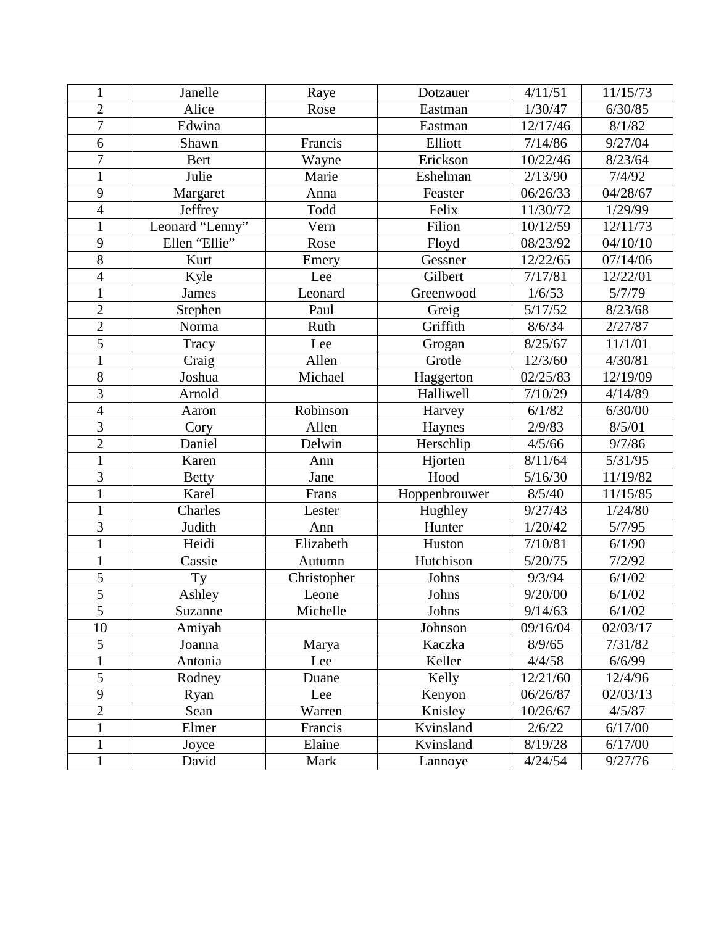| $\mathbf{1}$   | Janelle         | Raye        | Dotzauer      | 4/11/51                | 11/15/73         |
|----------------|-----------------|-------------|---------------|------------------------|------------------|
| $\overline{2}$ | Alice           | Rose        | Eastman       | 1/30/47                | 6/30/85          |
| $\overline{7}$ | Edwina          |             | Eastman       | 12/17/46               | 8/1/82           |
| 6              | Shawn           | Francis     | Elliott       | 7/14/86                | 9/27/04          |
| $\overline{7}$ | Bert            | Wayne       | Erickson      | 10/22/46               | 8/23/64          |
| $\mathbf{1}$   | Julie           | Marie       | Eshelman      | 2/13/90                | 7/4/92           |
| 9              | Margaret        | Anna        | Feaster       | 06/26/33               | 04/28/67         |
| $\overline{4}$ | Jeffrey         | Todd        | Felix         | $\frac{1}{11}{30}{72}$ | 1/29/99          |
| $\mathbf{1}$   | Leonard "Lenny" | Vern        | Filion        | 10/12/59               | 12/11/73         |
| 9              | Ellen "Ellie"   | Rose        | Floyd         | 08/23/92               | 04/10/10         |
| $\overline{8}$ | Kurt            | Emery       | Gessner       | 12/22/65               | 07/14/06         |
| $\overline{4}$ | Kyle            | Lee         | Gilbert       | 7/17/81                | 12/22/01         |
| $\mathbf{1}$   | <b>James</b>    | Leonard     | Greenwood     | 1/6/53                 | 5/7/79           |
| $\overline{2}$ | Stephen         | Paul        | Greig         | 5/17/52                | 8/23/68          |
| $\overline{2}$ | Norma           | Ruth        | Griffith      | 8/6/34                 | 2/27/87          |
| $\overline{5}$ | Tracy           | Lee         | Grogan        | 8/25/67                | 11/1/01          |
| $\mathbf{1}$   | Craig           | Allen       | Grotle        | 12/3/60                | 4/30/81          |
| $\overline{8}$ | Joshua          | Michael     | Haggerton     | 02/25/83               | 12/19/09         |
| $\overline{3}$ | Arnold          |             | Halliwell     | 7/10/29                | 4/14/89          |
| $\overline{4}$ | Aaron           | Robinson    | Harvey        | 6/1/82                 | 6/30/00          |
| $\overline{3}$ | Cory            | Allen       | Haynes        | 2/9/83                 | 8/5/01           |
| $\overline{2}$ | Daniel          | Delwin      | Herschlip     | 4/5/66                 | 9/7/86           |
| $\mathbf{1}$   | Karen           | Ann         | Hjorten       | 8/11/64                | 5/31/95          |
| $\overline{3}$ | <b>Betty</b>    | Jane        | Hood          | 5/16/30                | 11/19/82         |
| $\overline{1}$ | Karel           | Frans       | Hoppenbrouwer | 8/5/40                 | 11/15/85         |
| $\mathbf{1}$   | Charles         | Lester      | Hughley       | 9/27/43                | 1/24/80          |
| $\overline{3}$ | Judith          | Ann         | Hunter        | 1/20/42                | 5/7/95           |
| $\mathbf{1}$   | Heidi           | Elizabeth   | Huston        | 7/10/81                | 6/1/90           |
| $\mathbf{1}$   | Cassie          | Autumn      | Hutchison     | 5/20/75                | 7/2/92           |
| 5              | Ty              | Christopher | Johns         | 9/3/94                 | 6/1/02           |
| $\overline{5}$ | Ashley          | Leone       | Johns         | 9/20/00                | 6/1/02           |
| $\overline{5}$ | Suzanne         | Michelle    | Johns         | $\frac{9}{14/63}$      | $\frac{6}{1/02}$ |
| 10             | Amiyah          |             | Johnson       | 09/16/04               | 02/03/17         |
| 5              | Joanna          | Marya       | Kaczka        | 8/9/65                 | 7/31/82          |
| $\mathbf{1}$   | Antonia         | Lee         | Keller        | 4/4/58                 | 6/6/99           |
| 5              | Rodney          | Duane       | Kelly         | 12/21/60               | 12/4/96          |
| 9              | Ryan            | Lee         | Kenyon        | 06/26/87               | 02/03/13         |
| $\overline{2}$ | Sean            | Warren      | Knisley       | 10/26/67               | 4/5/87           |
| $\mathbf{1}$   | Elmer           | Francis     | Kvinsland     | 2/6/22                 | 6/17/00          |
| $\mathbf{1}$   | Joyce           | Elaine      | Kvinsland     | 8/19/28                | 6/17/00          |
| $\mathbf{1}$   | David           | Mark        | Lannoye       | 4/24/54                | 9/27/76          |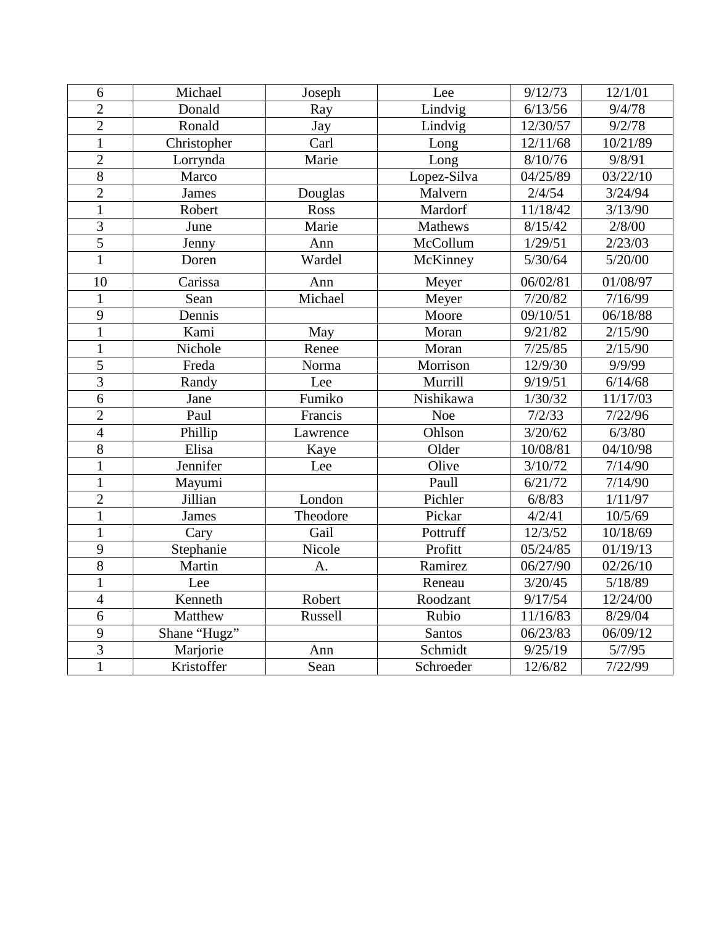| 6              | Michael      | Joseph   | Lee            | 9/12/73  | 12/1/01  |
|----------------|--------------|----------|----------------|----------|----------|
| $\overline{2}$ | Donald       | Ray      | Lindvig        | 6/13/56  | 9/4/78   |
| $\overline{2}$ | Ronald       | Jay      | Lindvig        | 12/30/57 | 9/2/78   |
| $\overline{1}$ | Christopher  | Carl     | Long           | 12/11/68 | 10/21/89 |
| $\overline{2}$ | Lorrynda     | Marie    | Long           | 8/10/76  | 9/8/91   |
| $\overline{8}$ | Marco        |          | Lopez-Silva    | 04/25/89 | 03/22/10 |
| $\overline{2}$ | James        | Douglas  | Malvern        | 2/4/54   | 3/24/94  |
| $\overline{1}$ | Robert       | Ross     | Mardorf        | 11/18/42 | 3/13/90  |
| $\overline{3}$ | June         | Marie    | <b>Mathews</b> | 8/15/42  | 2/8/00   |
| $\overline{5}$ | Jenny        | Ann      | McCollum       | 1/29/51  | 2/23/03  |
| $\overline{1}$ | Doren        | Wardel   | McKinney       | 5/30/64  | 5/20/00  |
| 10             | Carissa      | Ann      | Meyer          | 06/02/81 | 01/08/97 |
| $\mathbf{1}$   | Sean         | Michael  | Meyer          | 7/20/82  | 7/16/99  |
| $\overline{9}$ | Dennis       |          | Moore          | 09/10/51 | 06/18/88 |
| $\overline{1}$ | Kami         | May      | Moran          | 9/21/82  | 2/15/90  |
| $\mathbf{1}$   | Nichole      | Renee    | Moran          | 7/25/85  | 2/15/90  |
| $\overline{5}$ | Freda        | Norma    | Morrison       | 12/9/30  | 9/9/99   |
| $\overline{3}$ | Randy        | Lee      | Murrill        | 9/19/51  | 6/14/68  |
| $\overline{6}$ | Jane         | Fumiko   | Nishikawa      | 1/30/32  | 11/17/03 |
| $\overline{2}$ | Paul         | Francis  | Noe            | 7/2/33   | 7/22/96  |
| $\overline{4}$ | Phillip      | Lawrence | Ohlson         | 3/20/62  | 6/3/80   |
| $\overline{8}$ | Elisa        | Kaye     | Older          | 10/08/81 | 04/10/98 |
| $\mathbf{1}$   | Jennifer     | Lee      | Olive          | 3/10/72  | 7/14/90  |
| $\overline{1}$ | Mayumi       |          | Paull          | 6/21/72  | 7/14/90  |
| $\overline{2}$ | Jillian      | London   | Pichler        | 6/8/83   | 1/11/97  |
| $\mathbf{1}$   | James        | Theodore | Pickar         | 4/2/41   | 10/5/69  |
| $\mathbf{1}$   | Cary         | Gail     | Pottruff       | 12/3/52  | 10/18/69 |
| $\overline{9}$ | Stephanie    | Nicole   | Profitt        | 05/24/85 | 01/19/13 |
| $\overline{8}$ | Martin       | A.       | Ramirez        | 06/27/90 | 02/26/10 |
| $\overline{1}$ | Lee          |          | Reneau         | 3/20/45  | 5/18/89  |
| $\overline{4}$ | Kenneth      | Robert   | Roodzant       | 9/17/54  | 12/24/00 |
| $\overline{6}$ | Matthew      | Russell  | Rubio          | 11/16/83 | 8/29/04  |
| 9              | Shane "Hugz" |          | Santos         | 06/23/83 | 06/09/12 |
| $\overline{3}$ | Marjorie     | Ann      | Schmidt        | 9/25/19  | 5/7/95   |
| $\mathbf{1}$   | Kristoffer   | Sean     | Schroeder      | 12/6/82  | 7/22/99  |